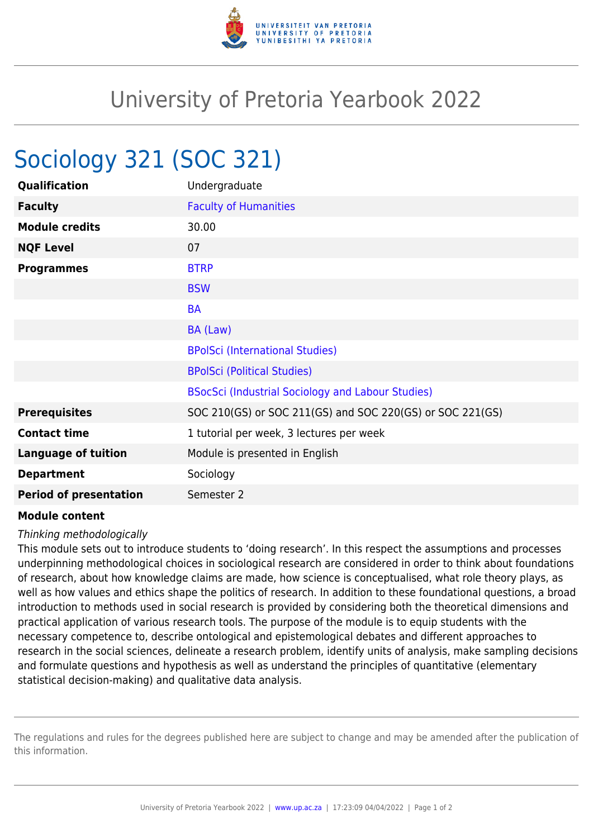

## University of Pretoria Yearbook 2022

## Sociology 321 (SOC 321)

| Qualification                 | Undergraduate                                             |
|-------------------------------|-----------------------------------------------------------|
| <b>Faculty</b>                | <b>Faculty of Humanities</b>                              |
| <b>Module credits</b>         | 30.00                                                     |
| <b>NQF Level</b>              | 07                                                        |
| <b>Programmes</b>             | <b>BTRP</b>                                               |
|                               | <b>BSW</b>                                                |
|                               | <b>BA</b>                                                 |
|                               | BA (Law)                                                  |
|                               | <b>BPolSci (International Studies)</b>                    |
|                               | <b>BPolSci (Political Studies)</b>                        |
|                               | BSocSci (Industrial Sociology and Labour Studies)         |
| <b>Prerequisites</b>          | SOC 210(GS) or SOC 211(GS) and SOC 220(GS) or SOC 221(GS) |
| <b>Contact time</b>           | 1 tutorial per week, 3 lectures per week                  |
| <b>Language of tuition</b>    | Module is presented in English                            |
| <b>Department</b>             | Sociology                                                 |
| <b>Period of presentation</b> | Semester 2                                                |

## **Module content**

## Thinking methodologically

This module sets out to introduce students to 'doing research'. In this respect the assumptions and processes underpinning methodological choices in sociological research are considered in order to think about foundations of research, about how knowledge claims are made, how science is conceptualised, what role theory plays, as well as how values and ethics shape the politics of research. In addition to these foundational questions, a broad introduction to methods used in social research is provided by considering both the theoretical dimensions and practical application of various research tools. The purpose of the module is to equip students with the necessary competence to, describe ontological and epistemological debates and different approaches to research in the social sciences, delineate a research problem, identify units of analysis, make sampling decisions and formulate questions and hypothesis as well as understand the principles of quantitative (elementary statistical decision-making) and qualitative data analysis.

The regulations and rules for the degrees published here are subject to change and may be amended after the publication of this information.